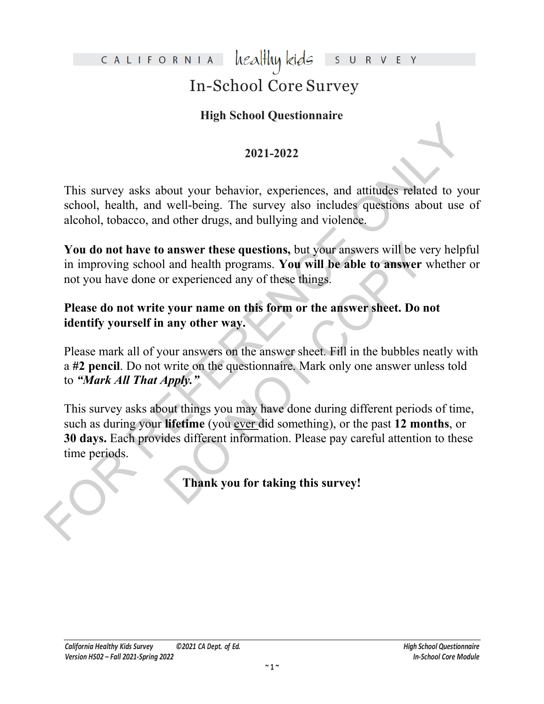#### healthy kids CALIFORNIA

# In-School Core Survey

# **High School Questionnaire**

## **2021-2022**

This survey asks about your behavior, experiences, and attitudes related to your school, health, and well-being. The survey also includes questions about use of alcohol, tobacco, and other drugs, and bullying and violence.

**You do not have to answer these questions,** but your answers will be very helpful in improving school and health programs. **You will be able to answer** whether or not you have done or experienced any of these things.

## **Please do not write your name on this form or the answer sheet. Do not identify yourself in any other way.**

Please mark all of your answers on the answer sheet. Fill in the bubbles neatly with a **#2 pencil**. Do not write on the questionnaire. Mark only one answer unless told to *"Mark All That Apply."*

2021-2022<br>
2021-2022<br>
2021-2022<br>
This survey asks about your behavior, experiences, and attitudes related to you<br>
school, health, and well-being. The survey also includes questions about use of<br>
alcohol, tobacco, and othe answer these questions, but your answers will be ver-<br>
and health programs. You will be able to answer will rever-<br>
Do not experienced any of these things.<br>
<br>
your name on this form or the answer sheet. Do no<br>
any other wa This survey asks about things you may have done during different periods of time, such as during your **lifetime** (you ever did something), or the past **12 months**, or **30 days.** Each provides different information. Please pay careful attention to these time periods.

**Thank you for taking this survey!**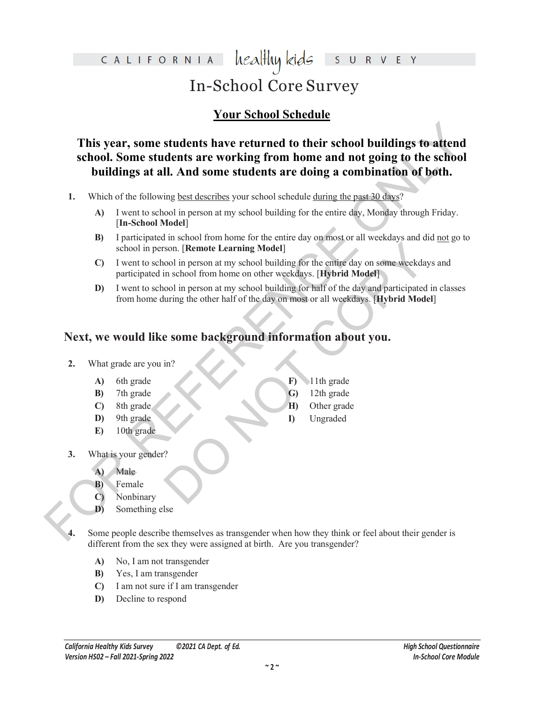# healthy kids CALIFORNIA In-School Core Survey

# **Your School Schedule**

This year, some students have returned to their school buildings to attend<br>school. Some students are working from home and not going to the school<br>buildings at all. And some students are doing a combination of both.<br>1. Wh **This year, some students have returned to their school buildings to attend school. Some students are working from home and not going to the school buildings at all. And some students are doing a combination of both.**

- **1.** Which of the following best describes your school schedule during the past 30 days?
	- **A)** I went to school in person at my school building for the entire day, Monday through Friday. [**In-School Model**]
	- **B)** I participated in school from home for the entire day on most or all weekdays and did not go to school in person. [**Remote Learning Model**]
	- Son. [Remote Learning Model]<br>
	Son. [Remote Learning Model]<br>
	in school from home on other weekdays. [Hybrid Model]<br>
	ool in person at my school building for half of the day and participated in<br>
	uring the other half of the da **C)** I went to school in person at my school building for the entire day on some weekdays and participated in school from home on other weekdays. [**Hybrid Model**]
	- **D)** I went to school in person at my school building for half of the day and participated in classes from home during the other half of the day on most or all weekdays. [**Hybrid Model**]

# **Next, we would like some background information about you.**

### **2.** What grade are you in?

- **A)** 6th grade
- **B)** 7th grade
- **C)** 8th grade
- **D)** 9th grade
- **E)** 10th grade
- **F)** 11th grade **G)** 12th grade
- **H)** Other grade
- **I)** Ungraded

- **3.** What is your gender?
	- **A)** Male
	- **B)** Female
	- **C)** Nonbinary
	- **D)** Something else
- Some people describe themselves as transgender when how they think or feel about their gender is different from the sex they were assigned at birth. Are you transgender?
	- **A)** No, I am not transgender
	- **B)** Yes, I am transgender
	- **C)** I am not sure if I am transgender
	- **D)** Decline to respond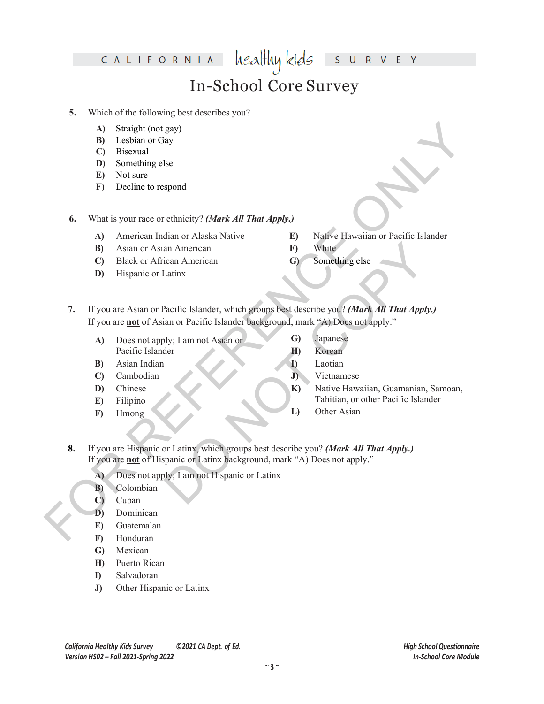#### healthy kids CALIFORNIA S.  $\mathsf R$  $\mathsf{V}$ E In-School Core Survey

### **5.** Which of the following best describes you?

- **A)** Straight (not gay)
- **B)** Lesbian or Gay
- **C)** Bisexual
- **D)** Something else
- **E)** Not sure
- **F)** Decline to respond

**6.** What is your race or ethnicity? *(Mark All That Apply.)*

- **A)** American Indian or Alaska Native
- **B)** Asian or Asian American
- **C)** Black or African American
- **D)** Hispanic or Latinx
- **E)** Native Hawaiian or Pacific Islander
- **F)** White
- **G)** Something else
- A) Straight (not gey)<br>
(B) Leisbuan or Gay<br>
(D) Bostom or Gay<br>
(D) Something else<br>
(B) Not state<br>
(B) Something else<br>
(B) Not state<br>
(B) Something else<br>
(B) Antiox (notice and not chase Native Comparison of Pacific Island an American<br>
Converting else<br>
Latinx<br>
Converting else<br>
Latinx<br>
Pacific Islander, which groups best describe you? (Mark All That Apply.)<br>
bly; I am not Asian or<br>
Converting the Supply."<br>
Converting to the Pacific Islander<br> **7.** If you are Asian or Pacific Islander, which groups best describe you? *(Mark All That Apply.)*  If you are **not** of Asian or Pacific Islander background, mark "A) Does not apply."
	- **A)** Does not apply; I am not Asian or Pacific Islander
	- **B)** Asian Indian
	- **C)** Cambodian
	- **D)** Chinese
	- **E)** Filipino
	- **F)** Hmong
- **G)** Japanese
- **H)** Korean
- **I)** Laotian
	- **J)** Vietnamese
	- **K)** Native Hawaiian, Guamanian, Samoan, Tahitian, or other Pacific Islander
	- **L)** Other Asian
- **8.** If you are Hispanic or Latinx, which groups best describe you? *(Mark All That Apply.)*  If you are **not** of Hispanic or Latinx background, mark "A) Does not apply."
	- **A)** Does not apply; I am not Hispanic or Latinx
	- **B)** Colombian
	- **C)** Cuban
	- **D)** Dominican
	- **E)** Guatemalan
	- **F)** Honduran
	- **G)** Mexican
	- **H)** Puerto Rican
	- **I)** Salvadoran
	- **J)** Other Hispanic or Latinx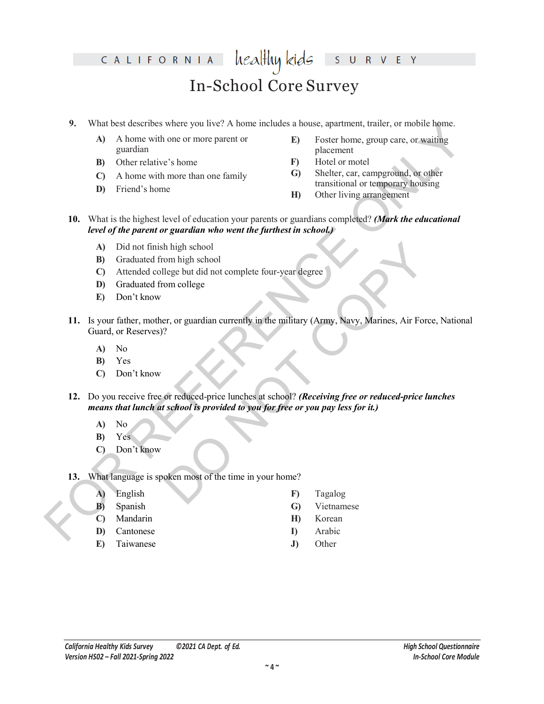#### healthy kids CALIFORNIA E Y  $\mathsf{S}$  $\overline{\mathsf{R}}$  $V$  $\cup$ In-School Core Survey

- **9.** What best describes where you live? A home includes a house, apartment, trailer, or mobile home.
	- **A)** A home with one or more parent or guardian
	- **B)** Other relative's home
	- **C)** A home with more than one family
	- **D)** Friend's home
- **E)** Foster home, group care, or waiting placement
- **F)** Hotel or motel
- **G)** Shelter, car, campground, or other transitional or temporary housing
- **H)** Other living arrangement
- **10.** What is the highest level of education your parents or guardians completed? *(Mark the educational level of the parent or guardian who went the furthest in school.)*
	- **A)** Did not finish high school
	- **B)** Graduated from high school
	- **C)** Attended college but did not complete four-year degree
	- **D)** Graduated from college
	- **E)** Don't know
- 9. What less these possible and the computer of Albom michales a house, approach, then the control home with one or more parts of  $\theta$ . Destribution, group care, or availing guardian (C) A home with more than one family h high school<br>
om high school<br>
elge but did not complete four-year degree<br>
om college<br>
or reduced-price lunches at school? (Receiving free or reduced-price lun<br>
school is provided to you for free or you pay less for it.)<br> **11.** Is your father, mother, or guardian currently in the military (Army, Navy, Marines, Air Force, National Guard, or Reserves)?
	- **A)** No
	- **B)** Yes
	- **C)** Don't know
	- **12.** Do you receive free or reduced-price lunches at school? *(Receiving free or reduced-price lunches means that lunch at school is provided to you for free or you pay less for it.)*
		- **A)** No
		- **B)** Yes
		- **C)** Don't know

### **13.** What language is spoken most of the time in your home?

- **A)** English
- **B)** Spanish
- **C)** Mandarin
- **D)** Cantonese
- **E)** Taiwanese
- **F)** Tagalog
- **G)** Vietnamese
- **H)** Korean
- **I)** Arabic
- **J)** Other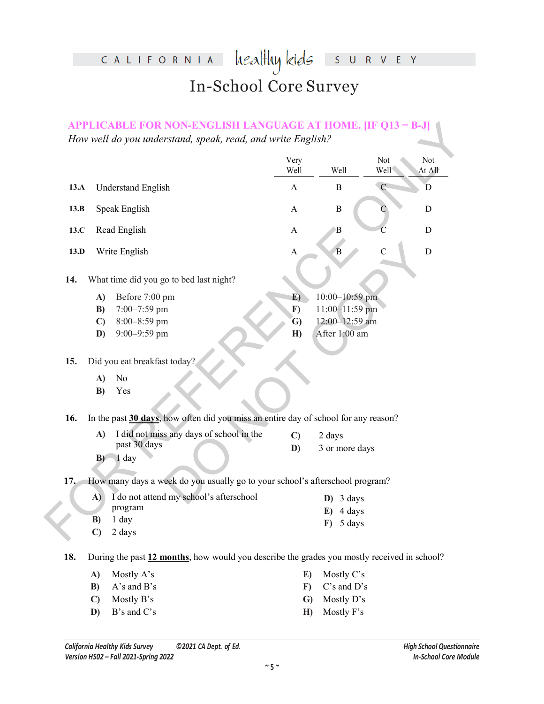# healthy kids survey CALIFORNIA In-School Core Survey

|      |                            |                                                                                             | Very<br>Well | Well                  | Not<br>Well   | Not<br>At All |
|------|----------------------------|---------------------------------------------------------------------------------------------|--------------|-----------------------|---------------|---------------|
| 13.A |                            | <b>Understand English</b>                                                                   | A            | $\bf{B}$              | $\mathcal{C}$ | D             |
| 13.B |                            | Speak English                                                                               | $\mathbf A$  | $\boldsymbol{B}$      |               | D             |
| 13.C |                            | Read English                                                                                | A            | B                     | Ċ             | D             |
| 13.D |                            | Write English                                                                               | A            | $\overline{B}$        | $\mathbf C$   | D             |
| 14.  |                            | What time did you go to bed last night?                                                     |              |                       |               |               |
|      | A)                         | Before 7:00 pm                                                                              | E)           | 10:00-10:59 pm        |               |               |
|      | B)                         | 7:00-7:59 pm                                                                                | $\bf{F}$     | 11:00-11:59 pm        |               |               |
|      | $\mathbf{C}$               | 8:00-8:59 pm                                                                                | G)           | 12:00-12:59 am        |               |               |
|      | D)                         | 9:00-9:59 pm                                                                                | H)           | After 1:00 am         |               |               |
| 15.  |                            | Did you eat breakfast today?                                                                |              |                       |               |               |
|      | A)                         | No                                                                                          |              |                       |               |               |
|      | B)                         | Yes                                                                                         |              |                       |               |               |
| 16.  |                            | In the past 30 days, how often did you miss an entire day of school for any reason?         |              |                       |               |               |
|      | A)                         | I did not miss any days of school in the                                                    | $\mathbf{C}$ | 2 days                |               |               |
|      | $B$ )                      | past 30 days<br>1 day                                                                       | D)           | 3 or more days        |               |               |
| 17.  |                            | How many days a week do you usually go to your school's afterschool program?                |              |                       |               |               |
|      | A)                         | I do not attend my school's afterschool                                                     |              | 3 days<br>$\bf{D}$    |               |               |
|      |                            | program                                                                                     |              | 4 days<br>E)          |               |               |
|      | <b>B</b> )<br>$\mathbf{C}$ | 1 day<br>2 days                                                                             |              | $\mathbf{F}$ ) 5 days |               |               |
| 18.  |                            | During the past 12 months, how would you describe the grades you mostly received in school? |              |                       |               |               |
|      | A)                         | Mostly A's                                                                                  | E)           | Mostly C's            |               |               |
|      | B)                         | A's and B's                                                                                 | $\bf{F}$     | C's and D's           |               |               |
|      |                            |                                                                                             |              |                       |               |               |
|      | $\mathbf{C}$               | Mostly B's                                                                                  | $\mathbf{G}$ | Mostly D's            |               |               |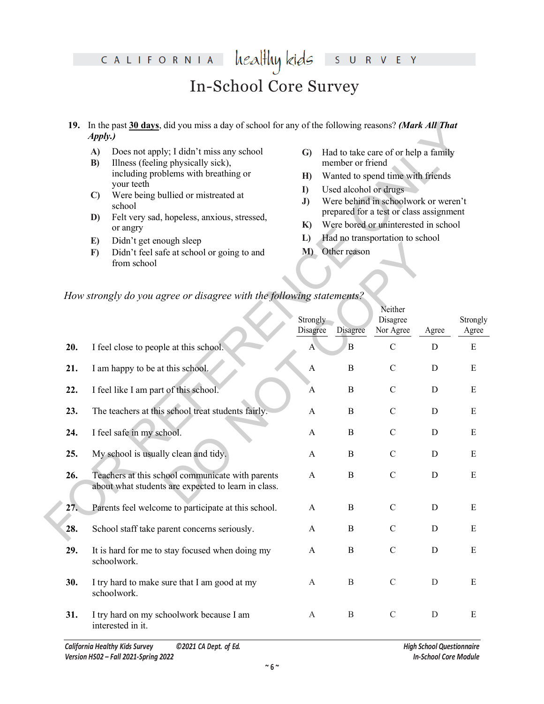#### healthy kids CALIFORNIA V E Y  $\overline{\mathsf{S}}$  $\overline{\mathsf{R}}$ In-School Core Survey

- **19.** In the past **30 days**, did you miss a day of school for any of the following reasons? *(Mark All That Apply.)*
	- **A)** Does not apply; I didn't miss any school
	- **B)** Illness (feeling physically sick), including problems with breathing or your teeth
	- **C)** Were being bullied or mistreated at school
	- **D)** Felt very sad, hopeless, anxious, stressed, or angry
	- **E)** Didn't get enough sleep
	- **F)** Didn't feel safe at school or going to and from school
- **G)** Had to take care of or help a family member or friend
- **H)** Wanted to spend time with friends
- **I)** Used alcohol or drugs
- **J)** Were behind in schoolwork or weren't prepared for a test or class assignment
- **K)** Were bored or uninterested in school

- **L)** Had no transportation to school
- **M)** Other reason

### *How strongly do you agree or disagree with the following statements?*

|     | 19. In the past 30 days, did you miss a day of school for any of the following reasons? (Mark All That<br><i>Apply.</i> )                        |                                |                                                                         |                                                                                 |             |                   |  |  |  |  |
|-----|--------------------------------------------------------------------------------------------------------------------------------------------------|--------------------------------|-------------------------------------------------------------------------|---------------------------------------------------------------------------------|-------------|-------------------|--|--|--|--|
|     | Does not apply; I didn't miss any school<br>A)<br>Illness (feeling physically sick),<br>B)<br>including problems with breathing or<br>your teeth | $\mathbf{G}$<br>H)<br>$\bf{I}$ | member or friend<br>Used alcohol or drugs                               | Had to take care of or help a family<br>Wanted to spend time with friends       |             |                   |  |  |  |  |
|     | Were being bullied or mistreated at<br>$\mathbf{C}$<br>school                                                                                    | J)                             |                                                                         | Were behind in schoolwork or weren't<br>prepared for a test or class assignment |             |                   |  |  |  |  |
|     | Felt very sad, hopeless, anxious, stressed,<br>D)<br>or angry                                                                                    | $\mathbf{K}$                   | Were bored or uninterested in school<br>Had no transportation to school |                                                                                 |             |                   |  |  |  |  |
|     | Didn't get enough sleep<br>E)<br>Didn't feel safe at school or going to and<br>F)<br>from school                                                 | L)<br>Other reason<br>M        |                                                                         |                                                                                 |             |                   |  |  |  |  |
|     | How strongly do you agree or disagree with the following statements?                                                                             |                                |                                                                         |                                                                                 |             |                   |  |  |  |  |
|     |                                                                                                                                                  | Strongly<br>Disagree           | Disagree                                                                | Neither<br>Disagree<br>Nor Agree                                                | Agree       | Strongly<br>Agree |  |  |  |  |
| 20. | I feel close to people at this school.                                                                                                           | A                              | $\overline{B}$                                                          | $\mathbf C$                                                                     | $\mathbf D$ | E                 |  |  |  |  |
| 21. | I am happy to be at this school.                                                                                                                 | A                              | $\bf{B}$                                                                | $\mathcal{C}$                                                                   | D           | ${\bf E}$         |  |  |  |  |
| 22. | I feel like I am part of this school.                                                                                                            | A                              | $\bf{B}$                                                                | $\mathsf C$                                                                     | D           | E                 |  |  |  |  |
| 23. | The teachers at this school treat students fairly.                                                                                               | A                              | $\bf{B}$                                                                | $\mathbf C$                                                                     | D           | E                 |  |  |  |  |
| 24. | I feel safe in my school.                                                                                                                        | A                              | $\bf{B}$                                                                | $\mathbf C$                                                                     | D           | E                 |  |  |  |  |
| 25. | My school is usually clean and tidy.                                                                                                             | A                              | $\bf{B}$                                                                | $\mathbf C$                                                                     | D           | E                 |  |  |  |  |
| 26. | Teachers at this school communicate with parents<br>about what students are expected to learn in class.                                          | A                              | $\bf{B}$                                                                | $\mathbf C$                                                                     | $\mathbf D$ | E                 |  |  |  |  |
| 27. | Parents feel welcome to participate at this school.                                                                                              | A                              | $\boldsymbol{B}$                                                        | $\mathcal{C}$                                                                   | D           | Ε                 |  |  |  |  |
| 28. | School staff take parent concerns seriously.                                                                                                     | A                              | $\, {\bf B}$                                                            | $\mathbf C$                                                                     | $\mathbf D$ | E                 |  |  |  |  |
| 29. | It is hard for me to stay focused when doing my<br>schoolwork.                                                                                   | A                              | $\, {\bf B}$                                                            | $\mathbf C$                                                                     | $\mathbf D$ | ${\bf E}$         |  |  |  |  |
| 30. | I try hard to make sure that I am good at my<br>schoolwork.                                                                                      | A                              | $\boldsymbol{B}$                                                        | $\mathcal{C}$                                                                   | D           | E                 |  |  |  |  |
| 31. | I try hard on my schoolwork because I am<br>interested in it.                                                                                    | A                              | $\boldsymbol{B}$                                                        | $\mathcal{C}$                                                                   | ${\rm D}$   | E                 |  |  |  |  |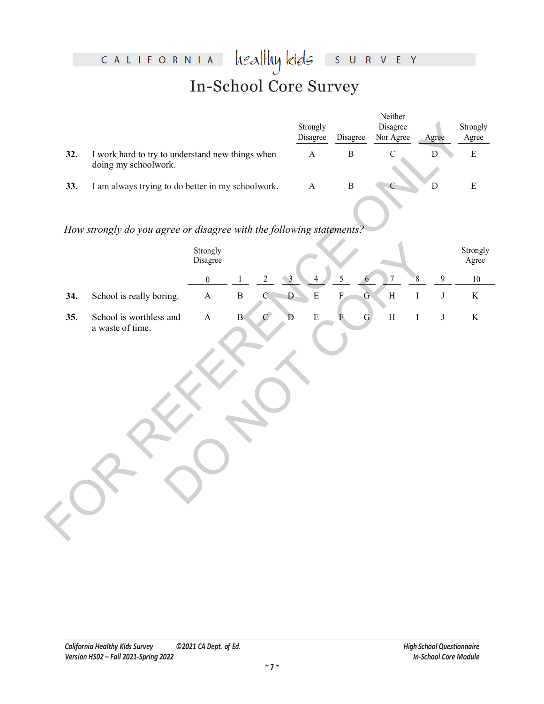# healthykids surver CALIFORNIA In-School Core Survey

|     |                                                                          | Strongly<br>Disagree | Disagree | Neither<br>Disagree<br>Nor Agree | Agree | Strongly<br>Agree |
|-----|--------------------------------------------------------------------------|----------------------|----------|----------------------------------|-------|-------------------|
| 32. | I work hard to try to understand new things when<br>doing my schoolwork. | А                    | В        |                                  |       | Е                 |
| 33. | I am always trying to do better in my schoolwork.                        | А                    |          |                                  |       |                   |

## *How strongly do you agree or disagree with the following statements?*

|     |                                                                          |                       |              |                       | Strongly<br>Disagree        | Disagree                                  | Disagree<br>Nor Agree | Agree                            | Strongly<br>Agree |
|-----|--------------------------------------------------------------------------|-----------------------|--------------|-----------------------|-----------------------------|-------------------------------------------|-----------------------|----------------------------------|-------------------|
| 32. | I work hard to try to understand new things when<br>doing my schoolwork. |                       |              |                       | $\mathbf{A}$                | $\, {\bf B}$                              | $\mathcal{C}$         | $\mathbf D$                      | $\mathbf E$       |
| 33. | I am always trying to do better in my schoolwork.                        |                       |              |                       | $\boldsymbol{\rm{A}}$       | $\, {\bf B}$                              |                       | ${\rm D}$                        | $\mathbf E$       |
|     | How strongly do you agree or disagree with the following statements?     |                       |              |                       |                             |                                           |                       |                                  |                   |
|     |                                                                          | Strongly<br>Disagree  |              |                       |                             |                                           |                       |                                  | Strongly<br>Agree |
|     |                                                                          | $\boldsymbol{0}$      | $\mathbf{1}$ | $\sqrt{2}$            | $\mathbf{3}$                | 5                                         | $\sqrt{ }$            | $\overline{9}$<br>$8\phantom{.}$ | 10                |
| 34. | School is really boring.                                                 | $\boldsymbol{\rm{A}}$ | $\bf{B}$     | $\mathcal{C}$         | $\mathbf{D}$<br>${\bf E}$   | $\overline{\mathrm{F}}$<br>$\overline{G}$ | $\, {\rm H}$          | $\rm I$<br>$\bf J$               | $\rm K$           |
| 35. | School is worthless and<br>a waste of time.                              | $\boldsymbol{\rm{A}}$ | $\mathbf B$  | $\mathcal{C}^{\perp}$ | ${\bf E}$<br>$\overline{D}$ | $\overline{F}$<br>$\mathbf G$             | $\, {\rm H}$          | $\rm I$<br>$\bf J$               | $\rm K$           |
|     |                                                                          |                       |              |                       |                             |                                           |                       |                                  |                   |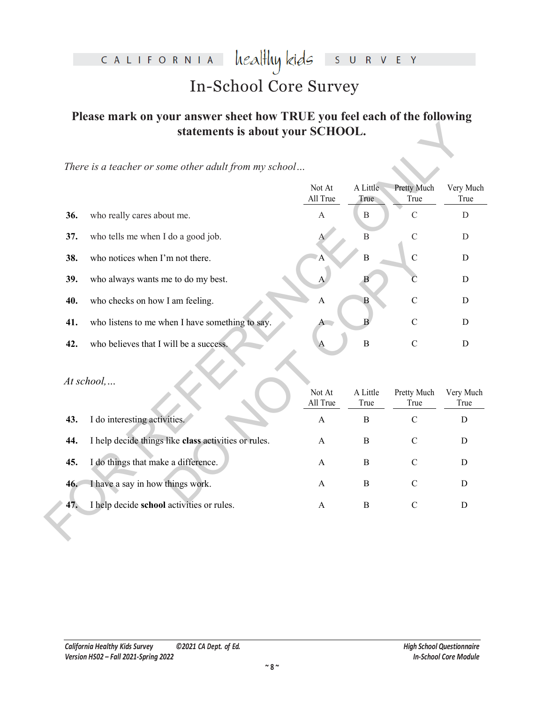#### heal<del>l</del>luy kids CALIFORNIA S U R V E Y

# In-School Core Survey

# **Please mark on your answer sheet how TRUE you feel each of the following statements is about your SCHOOL.**

|     | statements is about your SCHOOL.                      |                    |                  |                            |                   |
|-----|-------------------------------------------------------|--------------------|------------------|----------------------------|-------------------|
|     | There is a teacher or some other adult from my school |                    |                  |                            |                   |
|     |                                                       | Not At<br>All True | A Little<br>True | <b>Pretty Much</b><br>True | Very Much<br>True |
| 36. | who really cares about me.                            | $\mathbf{A}$       | B                | $\mathcal{C}$              | $\mathbf D$       |
| 37. | who tells me when I do a good job.                    |                    | $\mathbf B$      | $\mathcal{C}$              | D                 |
| 38. | who notices when I'm not there.                       | А                  | $\overline{B}$   | $\mathbf C$                | D                 |
| 39. | who always wants me to do my best.                    |                    | B                | C                          | D                 |
| 40. | who checks on how I am feeling.                       | A                  | B                | $\overline{C}$             | D                 |
| 41. | who listens to me when I have something to say.       |                    | $\bf{B}$         | $\mathcal{C}$              | D                 |
| 42. | who believes that I will be a success.                |                    | $\overline{B}$   | $\mathcal{C}$              | D                 |
|     | At school,                                            | Not At<br>All True | A Little<br>True | Pretty Much<br>True        | Very Much<br>True |
| 43. | I do interesting activities.                          | $\mathbf{A}$       | $\, {\bf B}$     | $\mathbf C$                | $\mathbf D$       |
| 44. | I help decide things like class activities or rules.  | $\mathbf{A}$       | $\bf{B}$         | $\mathcal{C}$              | $\mathbf D$       |
| 45. | I do things that make a difference.                   | A                  | $\, {\bf B}$     | $\mathbf C$                | D                 |
| 46. | I have a say in how things work.                      | A                  | $\, {\bf B}$     | $\mathcal{C}$              | $\mathbf D$       |
| 47. | I help decide school activities or rules.             | $\mathbf{A}$       | $\, {\bf B}$     | $\mathcal{C}$              | $\mathbf D$       |
|     |                                                       |                    |                  |                            |                   |

| 38. | who notices when I'm not there.                      | A                  | B                | $\mathcal{C}$       | D                 |
|-----|------------------------------------------------------|--------------------|------------------|---------------------|-------------------|
| 39. | who always wants me to do my best.                   | А                  |                  | C                   | D                 |
| 40. | who checks on how I am feeling.                      | A                  | В                | $\mathcal{C}$       | D                 |
| 41. | who listens to me when I have something to say.      | A                  |                  | $\mathcal{C}$       | D                 |
| 42. | who believes that I will be a success.               | A                  | $\mathbf B$      | $\mathcal{C}$       | D                 |
|     | $At school, \ldots$                                  |                    |                  |                     |                   |
|     |                                                      | Not At<br>All True | A Little<br>True | Pretty Much<br>True | Very Much<br>True |
| 43. | I do interesting activities.                         | $\mathbf{A}$       | B                | $\mathcal{C}$       | D                 |
| 44. | I help decide things like class activities or rules. | $\mathbf{A}$       | B                | $\mathcal{C}$       | D                 |
| 45. | I do things that make a difference.                  | A                  | B                | $\mathcal{C}$       | D                 |
| 46. | I have a say in how things work.                     | A                  | B                | $\mathcal{C}$       | D                 |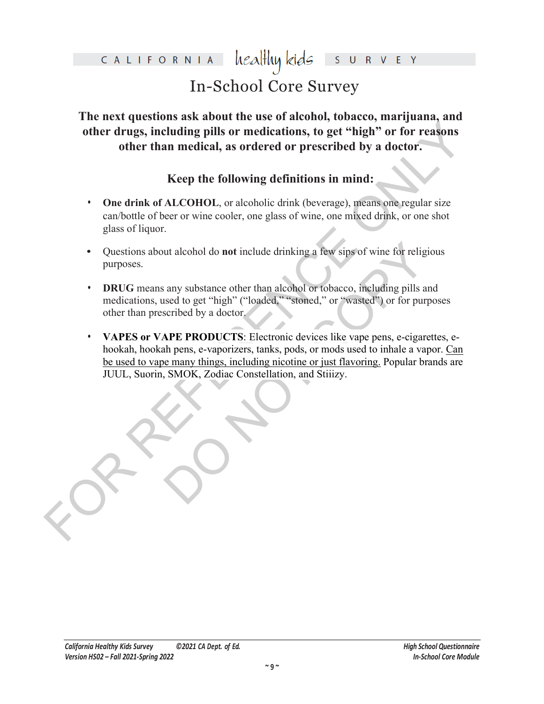### healthy kids CALIFORNIA

# In-School Core Survey

**The next questions ask about the use of alcohol, tobacco, marijuana, and other drugs, including pills or medications, to get "high" or for reasons other than medical, as ordered or prescribed by a doctor.**

# **Keep the following definitions in mind:**

- **One drink of ALCOHOL**, or alcoholic drink (beverage), means one regular size can/bottle of beer or wine cooler, one glass of wine, one mixed drink, or one shot glass of liquor.
- **•** Questions about alcohol do **not** include drinking a few sips of wine for religious purposes.
- **• DRUG** means any substance other than alcohol or tobacco, including pills and medications, used to get "high" ("loaded," "stoned," or "wasted") or for purposes other than prescribed by a doctor.
- other drugs, including pills or medications, to get "high" or for reasons<br>other than medical, as ordered or prescribed by a doctor.<br>Keep the following definitions in mind:<br>One drink of ALCOHOL<sub>2</sub> or alcoholic drink (bevera Internation of include drinking a few sips of wine for religiour any substance other than alcohol or tobacco, including pills and sead to get "high" ("loaded," "stoned," or "wasted") or for purposeribed by a doctor.<br>APE PR **• VAPES or VAPE PRODUCTS**: Electronic devices like vape pens, e-cigarettes, ehookah, hookah pens, e-vaporizers, tanks, pods, or mods used to inhale a vapor. Can be used to vape many things, including nicotine or just flavoring. Popular brands are JUUL, Suorin, SMOK, Zodiac Constellation, and Stiiizy.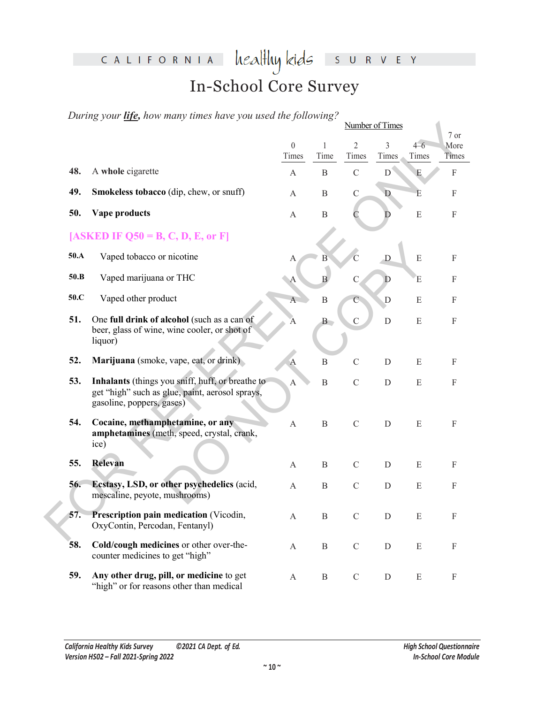# CALIFORNIA healthykids SURVEY

# In-School Core Survey

*During your life, how many times have you used the following?*

|      |                                                                                                                                  | Number of Times   |                  |                         |              |                |                                   |  |
|------|----------------------------------------------------------------------------------------------------------------------------------|-------------------|------------------|-------------------------|--------------|----------------|-----------------------------------|--|
|      |                                                                                                                                  | $\theta$<br>Times | Time             | $\overline{2}$<br>Times | 3<br>Times   | $4-6$<br>Times | $7\ \mathrm{or}$<br>More<br>Times |  |
| 48.  | A whole cigarette                                                                                                                | A                 | $\, {\bf B}$     | $\mathcal{C}$           | D            | E              | $\boldsymbol{\mathrm{F}}$         |  |
| 49.  | Smokeless tobacco (dip, chew, or snuff)                                                                                          | А                 | $\, {\bf B}$     | $\mathbf C$             | $\mathbf{D}$ | E              | $\mathbf{F}$                      |  |
| 50.  | Vape products                                                                                                                    | A                 | $\, {\bf B}$     |                         | D            | ${\bf E}$      | $\mathbf{F}$                      |  |
|      | $[ASKED IF Q50 = B, C, D, E, or F]$                                                                                              |                   |                  |                         |              |                |                                   |  |
| 50.A | Vaped tobacco or nicotine                                                                                                        | А                 | Β                |                         | $\mathbf D$  | $\mathbf E$    | $\mathbf{F}$                      |  |
| 50.B | Vaped marijuana or THC                                                                                                           | $\bullet$ A       | $\overline{B}$   | $\mathcal{C}$           | D            | E              | ${\bf F}$                         |  |
| 50.C | Vaped other product                                                                                                              | $\mathbf{A}$      | $\, {\bf B}$     | $\mathcal{C}$           | D            | E              | $\mathbf{F}$                      |  |
| 51.  | One full drink of alcohol (such as a can of<br>beer, glass of wine, wine cooler, or shot of<br>liquor)                           | A                 | B                | $\overline{C}$          | $\mathbf D$  | ${\bf E}$      | $\mathbf{F}$                      |  |
| 52.  | Marijuana (smoke, vape, eat, or drink)                                                                                           | $\mathbf{A}$      | $\, {\bf B}$     | $\mathcal{C}$           | D            | E              | $\mathbf{F}$                      |  |
| 53.  | Inhalants (things you sniff, huff, or breathe to<br>get "high" such as glue, paint, aerosol sprays,<br>gasoline, poppers, gases) | $\boldsymbol{A}$  | $\mathbf B$      | $\mathcal{C}$           | D            | E              | $\mathbf{F}$                      |  |
| 54.  | Cocaine, methamphetamine, or any<br>amphetamines (meth, speed, crystal, crank,<br>ice)                                           | A                 | $\mathbf B$      | $\mathbf C$             | D            | ${\bf E}$      | $\mathbf{F}$                      |  |
| 55.  | Relevan                                                                                                                          | A                 | B                | $\mathcal{C}$           | D            | E              | $\mathbf{F}$                      |  |
| 56.  | Ecstasy, LSD, or other psychedelics (acid,<br>mescaline, peyote, mushrooms)                                                      | A                 | $\boldsymbol{B}$ | $\mathcal{C}$           | D            | ${\bf E}$      | $\mathbf{F}$                      |  |
| 57.  | Prescription pain medication (Vicodin,<br>OxyContin, Percodan, Fentanyl)                                                         | A                 | B                | $\mathcal{C}$           | D            | E              | F                                 |  |
| 58.  | Cold/cough medicines or other over-the-<br>counter medicines to get "high"                                                       | A                 | $\, {\bf B}$     | ${\bf C}$               | $\mathbf D$  | $\mathbf E$    | $\mathbf F$                       |  |
| 59.  | Any other drug, pill, or medicine to get<br>"high" or for reasons other than medical                                             | A                 | $\, {\bf B}$     | $\mathbf C$             | $\mathbf D$  | E              | $\boldsymbol{\mathrm{F}}$         |  |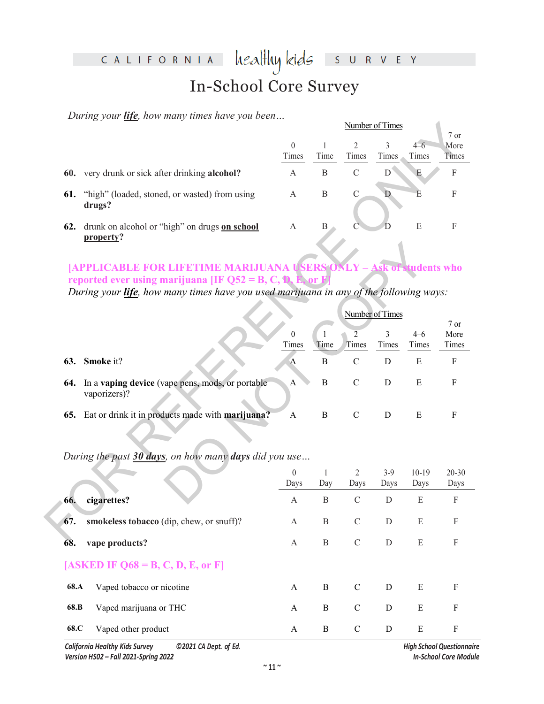#### healthy kids CALIFORNIA  $\mathsf{S}$ R V E Y U In-School Core Survey

*During your life, how many times have you been…* 

|     |                                                            | Number of Times |      |       |       |         |              |  |
|-----|------------------------------------------------------------|-----------------|------|-------|-------|---------|--------------|--|
|     |                                                            |                 |      |       |       |         | 7 or         |  |
|     |                                                            | $\theta$        |      |       |       | $4 - 6$ | More         |  |
|     |                                                            | Times           | Time | Times | Times | Times   | <b>Times</b> |  |
| 60. | very drunk or sick after drinking <b>alcohol?</b>          | А               | B    | C     | D     | E       | F            |  |
| 61. | "high" (loaded, stoned, or wasted) from using<br>drugs?    | А               | В    | C     |       | E       | F            |  |
| 62. | drunk on alcohol or "high" on drugs on school<br>property? | А               | В    |       |       | E       | F            |  |

## **[APPLICABLE FOR LIFETIME MARIJUANA USERS ONLY – Ask of students who reported ever using marijuana [IF Q52 = B, C, D, E, or**

|     |                                                                                                                                                                                                                                           | Number of Times   |                      |                         |                 |                  |                |
|-----|-------------------------------------------------------------------------------------------------------------------------------------------------------------------------------------------------------------------------------------------|-------------------|----------------------|-------------------------|-----------------|------------------|----------------|
|     |                                                                                                                                                                                                                                           | $\theta$          | 1                    | $\overline{2}$          | 3               | $4-6$            | 7 or<br>More   |
|     |                                                                                                                                                                                                                                           | Times             | Time                 | Times                   | Times           | Times            | Times          |
| 60. | very drunk or sick after drinking alcohol?                                                                                                                                                                                                | A                 | $\, {\bf B}$         | $\mathcal{C}$           | D               | E                | $\mathbf F$    |
| 61. | "high" (loaded, stoned, or wasted) from using<br>drugs?                                                                                                                                                                                   | A                 | $\mathbf B$          | $\mathcal{C}$           | D               | È                | ${\bf F}$      |
| 62. | drunk on alcohol or "high" on drugs on school<br>property?                                                                                                                                                                                | A                 | B                    |                         | D               | ${\bf E}$        | F              |
|     | <b>[APPLICABLE FOR LIFETIME MARIJUANA USERS ONLY - Ask of students who</b><br>reported ever using marijuana [IF $Q52 = B, C, D, E$ , or<br>During your <i>life</i> , how many times have you used marijuana in any of the following ways: |                   |                      |                         |                 |                  |                |
|     |                                                                                                                                                                                                                                           |                   |                      |                         | Number of Times |                  | 7 or           |
|     |                                                                                                                                                                                                                                           | $\theta$<br>Times | $\mathbf{1}$<br>Time | $\overline{2}$<br>Times | 3<br>Times      | $4 - 6$<br>Times | More<br>Times  |
| 63. | Smoke it?                                                                                                                                                                                                                                 | $\mathbf{A}$      | $\, {\bf B}$         | $\mathbf C$             | D               | $\mathbf E$      | ${\bf F}$      |
| 64. | In a vaping device (vape pens, mods, or portable<br>vaporizers)?                                                                                                                                                                          | A                 | B                    | $\mathcal{C}$           | $\mathbf D$     | E                | $\mathbf F$    |
| 65. | Eat or drink it in products made with marijuana?                                                                                                                                                                                          | A                 | $\, {\bf B}$         | $\mathbf C$             | $\mathbf D$     | E                | $\mathbf F$    |
|     | During the past 30 days, on how many days did you use                                                                                                                                                                                     |                   |                      |                         |                 |                  |                |
|     |                                                                                                                                                                                                                                           | $\boldsymbol{0}$  | 1                    | $\overline{2}$          | $3-9$           | $10-19$          | $20 - 30$      |
|     |                                                                                                                                                                                                                                           | Days              | Day                  | Days                    | Days            | Days             | Days           |
| 66. | cigarettes?                                                                                                                                                                                                                               | A                 | B                    | $\mathcal{C}$           | $\mathbf D$     | E                | $\mathbf{F}$   |
| 67. | smokeless tobacco (dip, chew, or snuff)?                                                                                                                                                                                                  | А                 | B                    | $\mathcal{C}$           | D               | E                | $\Gamma$       |
| σò. | $\mathbf{1}$ $\mathbf{0}$                                                                                                                                                                                                                 |                   | $\mathbf{L}$         | $\sim$                  | $\sqrt{ }$      | $\blacksquare$   | $\blacksquare$ |

|      |                                          | $\theta$ |     | $\mathfrak{D}_{\mathfrak{p}}$ | $3-9$ | 10-19 | 20-30                     |
|------|------------------------------------------|----------|-----|-------------------------------|-------|-------|---------------------------|
|      |                                          | Days     | Day | Days                          | Days  | Days  | Days                      |
| 66.  | cigarettes?                              | A        | B   | $\mathcal{C}$                 | D     | E     | $\boldsymbol{\mathrm{F}}$ |
| 67.  | smokeless tobacco (dip, chew, or snuff)? | A        | B   | $\mathcal{C}$                 | D     | E     | $\boldsymbol{\mathrm{F}}$ |
| 68.  | vape products?                           | A        | B   | $\mathcal{C}$                 | D     | E     | $\boldsymbol{\mathrm{F}}$ |
|      | [ASKED IF $Q68 = B, C, D, E,$ or F]      |          |     |                               |       |       |                           |
| 68.A | Vaped tobacco or nicotine                | A        | B   | $\mathcal{C}$                 | D     | E     | F                         |
| 68.B | Vaped marijuana or THC                   | A        | B   | $\mathcal{C}$                 | D     | E     | F                         |
| 68.C | Vaped other product                      | A        | B   | C                             | D     | Ε     | F                         |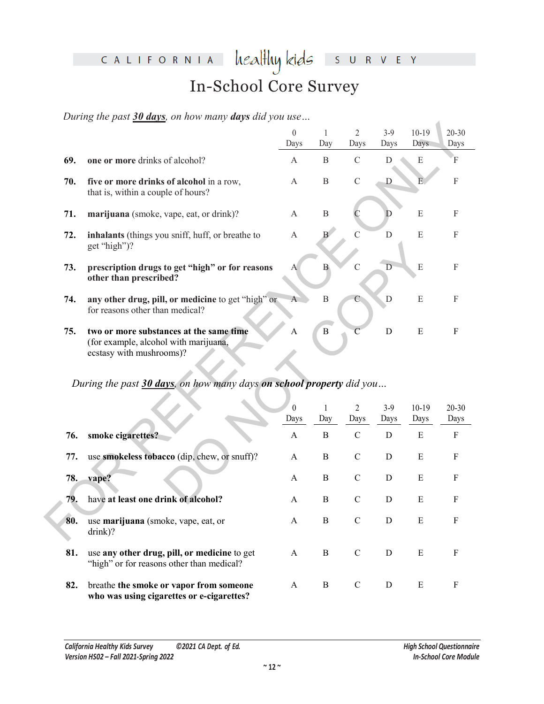## healthy kids CALIFORNIA S U R V E Y In-School Core Survey

*During the past 30 days, on how many days did you use…*

|     |                                                                                                              | $\boldsymbol{0}$<br>Days | $\mathbf{1}$<br>Day | 2<br>Days              | $3-9$<br>Days  | $10-19$<br>Days | $20 - 30$<br>Days         |
|-----|--------------------------------------------------------------------------------------------------------------|--------------------------|---------------------|------------------------|----------------|-----------------|---------------------------|
| 69. | one or more drinks of alcohol?                                                                               | $\mathbf{A}$             | B                   | $\mathcal{C}$          | D              | ${\bf E}$       | F                         |
| 70. | five or more drinks of alcohol in a row,<br>that is, within a couple of hours?                               | $\mathbf{A}$             | $\mathbf B$         | $\mathbf C$            | $\mathbf D$    | E.              | $\boldsymbol{\mathrm{F}}$ |
| 71. | marijuana (smoke, vape, eat, or drink)?                                                                      | A                        | $\, {\bf B}$        | C                      | D              | E               | $\mathbf F$               |
| 72. | inhalants (things you sniff, huff, or breathe to<br>get "high")?                                             | $\mathbf{A}$             | B                   | $\mathcal{C}$          | D              | ${\bf E}$       | ${\bf F}$                 |
| 73. | prescription drugs to get "high" or for reasons<br>other than prescribed?                                    | A                        | $\mathbf{B}$        | $\mathcal{C}$          | $\overline{D}$ | ${\bf E}$       | ${\bf F}$                 |
| 74. | any other drug, pill, or medicine to get "high" or<br>for reasons other than medical?                        | $\overline{A}$           | $\, {\bf B}$        | С                      | D              | ${\bf E}$       | $\boldsymbol{\mathrm{F}}$ |
| 75. | two or more substances at the same time<br>(for example, alcohol with marijuana,<br>ecstasy with mushrooms)? | А                        | $\, {\bf B}$        | $\mathcal{C}$          | $\mathbf D$    | ${\bf E}$       | $\mathbf{F}$              |
|     | During the past 30 days, on how many days on school property did you                                         |                          |                     |                        |                |                 |                           |
|     |                                                                                                              | $\theta$<br>Days         | $\mathbf{1}$<br>Day | $\overline{2}$<br>Days | $3-9$<br>Days  | $10-19$<br>Days | 20-30<br>Days             |
| 76. | smoke cigarettes?                                                                                            | $\mathbf{A}$             | $\, {\bf B}$        | $\mathbf C$            | $\mathbf D$    | ${\bf E}$       | ${\bf F}$                 |
| 77. | use smokeless tobacco (dip, chew, or snuff)?                                                                 | A                        | $\bf{B}$            | $\mathbf C$            | $\mathbf D$    | ${\bf E}$       | ${\bf F}$                 |
| 78. | vape?                                                                                                        | A                        | $\bf{B}$            | $\mathcal{C}$          | $\mathbf D$    | ${\bf E}$       | ${\bf F}$                 |
| 79. | have at least one drink of alcohol?                                                                          | A                        | $\bf{B}$            | $\mathbf C$            | D              | E               | $\boldsymbol{\mathrm{F}}$ |
| 80. | use marijuana (smoke, vape, eat, or<br>drink)?                                                               | A                        | $\bf{B}$            | $\mathbf C$            | D              | E               | $\mathbf{F}$              |

*During the past 30 days, on how many days on school property did you…* 

|     |                                                                                           | $\theta$     |     | $\mathfrak{D}$ | $3-9$ | 10-19 | $20 - 30$    |
|-----|-------------------------------------------------------------------------------------------|--------------|-----|----------------|-------|-------|--------------|
|     |                                                                                           | Days         | Day | Days           | Days  | Days  | Days         |
| 76. | smoke cigarettes?                                                                         | A            | B   | $\mathcal{C}$  | D     | E     | ${\bf F}$    |
| 77. | use smokeless tobacco (dip, chew, or snuff)?                                              | A            | B   | $\mathcal{C}$  | D     | E     | $\mathbf F$  |
| 78. | vape?                                                                                     | A            | B   | C              | D     | E     | $\mathbf{F}$ |
| 79. | have at least one drink of alcohol?                                                       | $\mathsf{A}$ | B   | C              | D     | E     | $\mathbf{F}$ |
| 80. | use marijuana (smoke, vape, eat, or<br>drink)?                                            | $\mathsf{A}$ | B   | $\mathcal{C}$  | D     | E     | F            |
| 81. | use any other drug, pill, or medicine to get<br>"high" or for reasons other than medical? | $\mathsf{A}$ | B   | C              | D     | E     | F            |
| 82. | breathe the smoke or vapor from someone<br>who was using cigarettes or e-cigarettes?      | $\mathsf{A}$ | B   | C              | D     | E     | F            |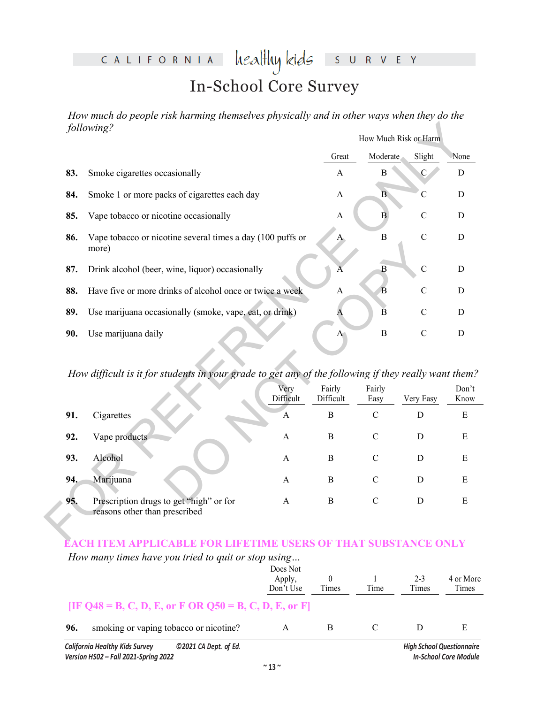#### heal<del>l</del>luy kids CALIFORNIA S U R V E Y

# In-School Core Survey

*How much do people risk harming themselves physically and in other ways when they do the following?* How Much Risk or Harm

|     | following?                                                                                           |                   |                     | How Much Risk or Harm |                |               |
|-----|------------------------------------------------------------------------------------------------------|-------------------|---------------------|-----------------------|----------------|---------------|
|     |                                                                                                      |                   | Great               | Moderate              | Slight         | None          |
| 83. | Smoke cigarettes occasionally                                                                        |                   | $\mathbf{A}$        | В                     | $\mathcal{C}$  | D             |
| 84. | Smoke 1 or more packs of cigarettes each day                                                         |                   | A                   | $\mathbf{B}$          | $\mathbf C$    | $\mathbf D$   |
| 85. | Vape tobacco or nicotine occasionally                                                                |                   | $\mathbf{A}$        | $\overrightarrow{B}$  | $\mathcal{C}$  | D             |
| 86. | Vape tobacco or nicotine several times a day (100 puffs or<br>more)                                  |                   | Ą.                  | $\bf{B}$              | $\mathbf C$    | $\mathbf D$   |
| 87. | Drink alcohol (beer, wine, liquor) occasionally                                                      |                   |                     | B                     | $\overline{C}$ | D             |
| 88. | Have five or more drinks of alcohol once or twice a week                                             |                   | $\mathbf{A}$        | $\overline{B}$        | $\mathcal{C}$  | D             |
| 89. | Use marijuana occasionally (smoke, vape, eat, or drink)                                              |                   | Α                   | $\overline{B}$        | $\mathcal{C}$  | D             |
| 90. | Use marijuana daily                                                                                  |                   | $A^{\dagger}$       | $\bf{B}$              | $\mathbf C$    | D             |
|     | How difficult is it for students in your grade to get any of the following if they really want them? |                   |                     |                       |                |               |
|     |                                                                                                      | Very<br>Difficult | Fairly<br>Difficult | Fairly<br>Easy        | Very Easy      | Don't<br>Know |
| 91. | Cigarettes                                                                                           | A                 | $\bf{B}$            | $\mathbf C$           | D              | ${\bf E}$     |
|     | Vape products                                                                                        | $\mathbf{A}$      | $\, {\bf B}$        | $\mathcal{C}$         | D              | E             |
| 92. |                                                                                                      |                   |                     |                       |                |               |
| 93. | Alcohol                                                                                              | $\mathbf{A}$      | $\bf{B}$            | $\mathbf C$           | $\mathbf D$    | E             |
| 94. | Marijuana                                                                                            | A                 | B                   | $\mathbf C$           | D              | E             |

*How difficult is it for students in your grade to get any of the following if they really want them?*

|                                                                                                                                           | more)                                                    |              |              |               |               |      |  |
|-------------------------------------------------------------------------------------------------------------------------------------------|----------------------------------------------------------|--------------|--------------|---------------|---------------|------|--|
| 87.                                                                                                                                       | Drink alcohol (beer, wine, liquor) occasionally          |              |              | B             | $\mathcal{C}$ | D    |  |
| 88.                                                                                                                                       | Have five or more drinks of alcohol once or twice a week |              | A            | B             | $\mathsf{C}$  | D    |  |
| 89.                                                                                                                                       | Use marijuana occasionally (smoke, vape, eat, or drink)  |              |              | B             | $\mathcal{C}$ | D    |  |
| 90.                                                                                                                                       | Use marijuana daily                                      |              | $\mathbf{A}$ | $\bf{B}$      | $\mathbf C$   | D    |  |
| How difficult is it for students in your grade to get any of the following if they really want them?<br>Very<br>Fairly<br>Fairly<br>Don't |                                                          |              |              |               |               |      |  |
|                                                                                                                                           |                                                          | Difficult    | Difficult    | Easy          | Very Easy     | Know |  |
| 91.                                                                                                                                       | Cigarettes                                               | A            | $\bf{B}$     | $\mathcal{C}$ | D             | E    |  |
| 92.                                                                                                                                       | Vape products                                            | $\mathbf{A}$ | B            | $\mathcal{C}$ | D             | E    |  |
| 93.                                                                                                                                       | Alcohol                                                  | A            | B            | $\mathcal{C}$ | D             | E    |  |
| 94.                                                                                                                                       | Marijuana                                                | A            | B            | $\mathcal{C}$ | D             | Ε    |  |

### **EACH ITEM APPLICABLE FOR LIFETIME USERS OF THAT SUBSTANCE ONLY**

*How many times have you tried to quit or stop using…* 

|     | ©2021 CA Dept. of Ed.<br><b>California Healthy Kids Survey</b><br>Version HSO2 - Fall 2021-Spring 2022 |                                 |       |      |                  | <b>High School Questionnaire</b><br><b>In-School Core Module</b> |
|-----|--------------------------------------------------------------------------------------------------------|---------------------------------|-------|------|------------------|------------------------------------------------------------------|
| 96. | smoking or vaping tobacco or nicotine?                                                                 | A                               | B     |      | D                | E                                                                |
|     | [IF Q48 = B, C, D, E, or F OR Q50 = B, C, D, E, or F]                                                  |                                 |       |      |                  |                                                                  |
|     |                                                                                                        | Does Not<br>Apply,<br>Don't Use | Times | Time | $2 - 3$<br>Times | 4 or More<br>Times                                               |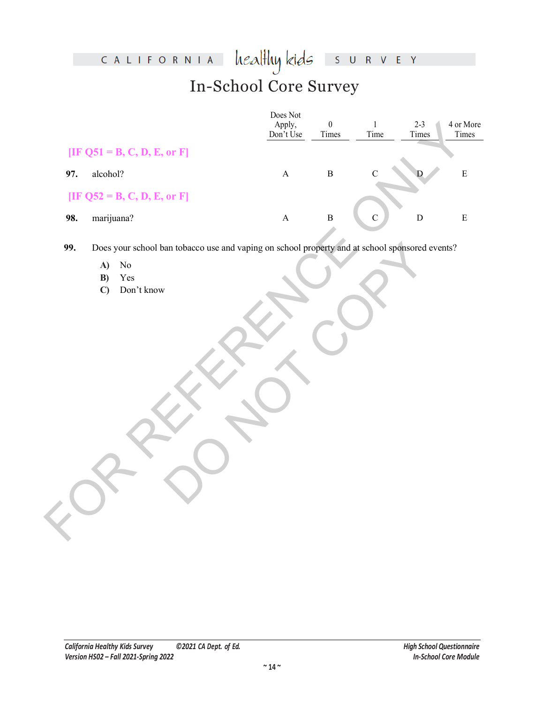## heal<del>l</del>luy kids CALIFORNIA S U R V E Y In-School Core Survey

|     |                                                                                                | Does Not<br>Apply,<br>Don't Use | $\boldsymbol{0}$<br>Times | $\mathbf{1}$<br>Time | $2 - 3$<br>Times | 4 or More<br>Times |
|-----|------------------------------------------------------------------------------------------------|---------------------------------|---------------------------|----------------------|------------------|--------------------|
|     | [IF Q51 = B, C, D, E, or F]                                                                    |                                 |                           |                      |                  |                    |
| 97. | alcohol?                                                                                       | $\mathbf A$                     | $\, {\bf B}$              | $\mathcal{C}$        |                  | ${\bf E}$          |
|     | [IF Q52 = B, C, D, E, or F]                                                                    |                                 |                           |                      |                  |                    |
| 98. | marijuana?                                                                                     | $\mathbf A$                     | $\, {\bf B}$              | $\mathbf C$          | $\mathbf D$      | ${\bf E}$          |
| 99. | Does your school ban tobacco use and vaping on school property and at school sponsored events? |                                 |                           |                      |                  |                    |
|     | A)<br>$\rm No$<br>Yes<br>B)<br>Don't know<br>$\mathbf{C}$                                      |                                 |                           |                      |                  |                    |

- **A)** No
- **B)** Yes
- **C)** Don't know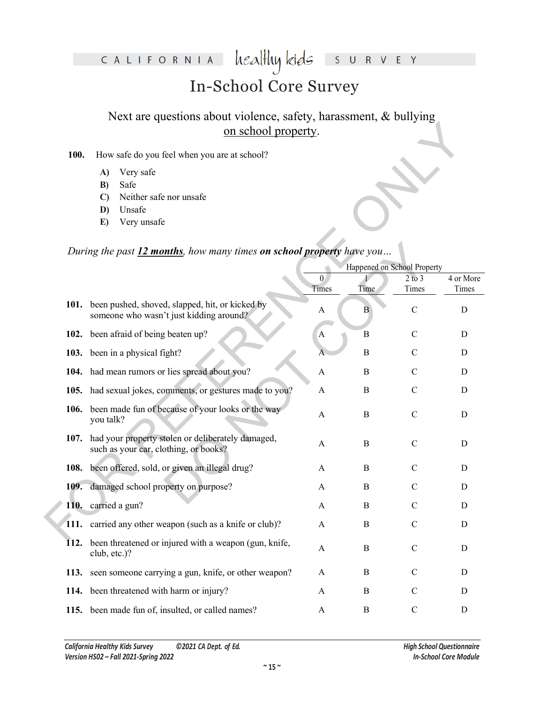#### healthy kids CALIFORNIA S U R V E Y

# In-School Core Survey

Next are questions about violence, safety, harassment, & bullying on school property.

#### **100.** How safe do you feel when you are at school?

- **A)** Very safe
- **B)** Safe
- **C)** Neither safe nor unsafe
- **D)** Unsafe
- **E)** Very unsafe

### *During the past 12 months, how many times on school property have you…*

|      | on school property.                                                                             |                       |                             |               |             |
|------|-------------------------------------------------------------------------------------------------|-----------------------|-----------------------------|---------------|-------------|
| 100. | How safe do you feel when you are at school?                                                    |                       |                             |               |             |
|      | Very safe<br>A)                                                                                 |                       |                             |               |             |
|      | Safe<br>B)<br>Neither safe nor unsafe<br>$\mathbf{C}$                                           |                       |                             |               |             |
|      | Unsafe<br>D)                                                                                    |                       |                             |               |             |
|      | Very unsafe<br>E)                                                                               |                       |                             |               |             |
|      |                                                                                                 |                       |                             |               |             |
|      | During the past 12 months, how many times on school property have you                           |                       | Happened on School Property |               |             |
|      |                                                                                                 | $\theta$              |                             | $2$ to $3$    | 4 or More   |
|      |                                                                                                 | Times                 | Time                        | Times         | Times       |
|      | 101. been pushed, shoved, slapped, hit, or kicked by<br>someone who wasn't just kidding around? | A                     | B                           | $\mathcal{C}$ | D           |
|      | 102. been afraid of being beaten up?                                                            | A                     | B                           | $\mathcal{C}$ | D           |
|      | 103. been in a physical fight?                                                                  |                       | $\boldsymbol{B}$            | C             | D           |
|      | 104. had mean rumors or lies spread about you?                                                  | A                     | $\boldsymbol{B}$            | $\mathcal{C}$ | D           |
|      | 105. had sexual jokes, comments, or gestures made to you?                                       | A                     | B                           | $\mathcal{C}$ | D           |
|      | 106. been made fun of because of your looks or the way<br>you talk?                             | A                     | B                           | $\mathcal{C}$ | D           |
| 107. | had your property stolen or deliberately damaged,<br>such as your car, clothing, or books?      | A                     | B                           | $\mathsf{C}$  | D           |
|      | 108. been offered, sold, or given an illegal drug?                                              | A                     | B                           | $\mathcal{C}$ | D           |
| 109. | damaged school property on purpose?                                                             | A                     | B                           | $\mathcal{C}$ | D           |
|      | 110. carried a gun?                                                                             | A                     | $\boldsymbol{B}$            | $\mathcal{C}$ | D           |
|      | 111. carried any other weapon (such as a knife or club)?                                        | $\boldsymbol{\rm{A}}$ | $\boldsymbol{B}$            | $\mathcal{C}$ | $\mathbf D$ |
| 112. | been threatened or injured with a weapon (gun, knife,<br>club, etc.)?                           | A                     | $\bf{B}$                    | $\mathbf C$   | D           |
| 113. | seen someone carrying a gun, knife, or other weapon?                                            | A                     | B                           | C             | D           |
|      | 114. been threatened with harm or injury?                                                       | A                     | $\bf{B}$                    | $\mathbf C$   | D           |
|      | 115. been made fun of, insulted, or called names?                                               | A                     | B                           | $\mathsf{C}$  | D           |
|      |                                                                                                 |                       |                             |               |             |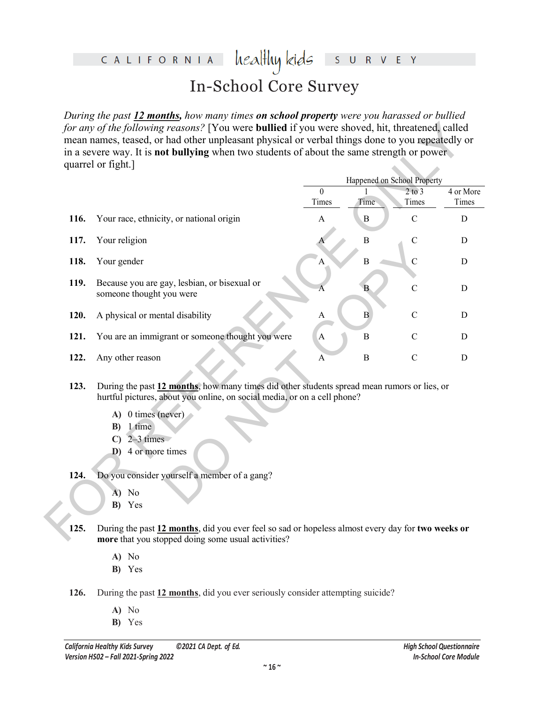#### healthy kids CALIFORNIA R V E Y  $S$ In-School Core Survey

*During the past 12 months, how many times on school property were you harassed or bullied for any of the following reasons?* [You were **bullied** if you were shoved, hit, threatened, called mean names, teased, or had other unpleasant physical or verbal things done to you repeatedly or in a severe way. It is **not bullying** when two students of about the same strength or power quarrel or fight.]

|      |                                                                                                                                                                         | Happened on School Property |                  |                     |                    |
|------|-------------------------------------------------------------------------------------------------------------------------------------------------------------------------|-----------------------------|------------------|---------------------|--------------------|
|      |                                                                                                                                                                         | $\theta$<br>Times           | Time             | $2$ to $3$<br>Times | 4 or More<br>Times |
| 116. | Your race, ethnicity, or national origin                                                                                                                                | A                           | $\boldsymbol{B}$ | $\mathcal{C}$       | D                  |
| 117. | Your religion                                                                                                                                                           |                             | $\overline{B}$   | $\mathcal{C}$       | $\mathbf D$        |
| 118. | Your gender                                                                                                                                                             | А                           | $\overline{B}$   | $\overline{C}$      | $\mathbf D$        |
| 119. | Because you are gay, lesbian, or bisexual or<br>someone thought you were                                                                                                | A                           | B                | $\mathcal{C}$       | D                  |
| 120. | A physical or mental disability                                                                                                                                         | A                           | $\, {\bf B}$     | $\mathcal{C}$       | D                  |
| 121. | You are an immigrant or someone thought you were                                                                                                                        | $\mathbf{A}$                | B                | $\mathcal{C}$       | D                  |
| 122. | Any other reason                                                                                                                                                        | A                           | $\bf{B}$         | $\mathbf C$         | D                  |
| 123. | During the past 12 months, how many times did other students spread mean rumors or lies, or<br>hurtful pictures, about you online, on social media, or on a cell phone? |                             |                  |                     |                    |
|      | A) 0 times (never)                                                                                                                                                      |                             |                  |                     |                    |
|      | 1 time<br>B)                                                                                                                                                            |                             |                  |                     |                    |
|      | $2-3$ times<br>$\mathbf{C}$<br>D) 4 or more times                                                                                                                       |                             |                  |                     |                    |
|      |                                                                                                                                                                         |                             |                  |                     |                    |
| 124. | Do you consider yourself a member of a gang?                                                                                                                            |                             |                  |                     |                    |
|      | No<br>A)                                                                                                                                                                |                             |                  |                     |                    |
|      | B) Yes                                                                                                                                                                  |                             |                  |                     |                    |

- **123.** During the past **12 months**, how many times did other students spread mean rumors or lies, or hurtful pictures, about you online, on social media, or on a cell phone?
	- **A)** 0 times (never)
	- **B)** 1 time
	- **C)** 2–3 times
	- **D)** 4 or more times

### **124.** Do you consider yourself a member of a gang?

- **A)** No
- **B)** Yes
- **125.** During the past **12 months**, did you ever feel so sad or hopeless almost every day for **two weeks or more** that you stopped doing some usual activities?
	- **A)** No
	- **B)** Yes
- **126.** During the past **12 months**, did you ever seriously consider attempting suicide?
	- **A)** No
	- **B)** Yes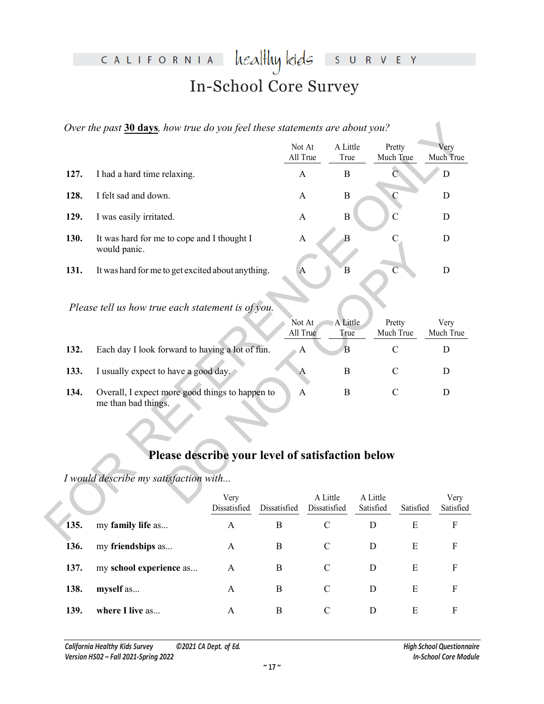#### heal<del>l</del>luy kids CALIFORNIA  $S$  U R V E Y In-School Core Survey

| A Little<br>Not At<br>Pretty<br>All True<br>True<br>Much True<br>$\overline{C}$<br>127.<br>I had a hard time relaxing.<br>$\mathbf{A}$<br>$\bf{B}$<br>I felt sad and down.<br>128.<br>$\mathbf C$<br>$\bf{B}$<br>A<br>$\overline{C}$<br>129.<br>$\mathbf B$<br>I was easily irritated.<br>$\mathbf{A}$<br>$\overline{B}$<br>130.<br>$\mathbf C$<br>It was hard for me to cope and I thought I<br>$\mathbf{A}$<br>would panic.<br>$\overline{C}$<br>131.<br>It was hard for me to get excited about anything.<br>B<br>$\mathbf{A}$<br>Please tell us how true each statement is of you.<br>A Little<br>Not At<br>Pretty<br>All True<br>Much True<br>True<br>132.<br>Each day I look forward to having a lot of fun.<br>$\overline{B}$<br>$\mathcal{C}$<br>$\mathbf{A}$<br>133.<br>I usually expect to have a good day.<br>$\mathcal{C}$<br>$\bf{B}$<br>$\mathsf{A}$<br>Overall, I expect more good things to happen to<br>134.<br>$\mathbf B$<br>$\mathcal{C}$<br>$\mathbf{A}$<br>me than bad things.<br>Please describe your level of satisfaction below<br>I would describe my satisfaction with<br>A Little<br>A Little<br>Very<br>Dissatisfied<br>Dissatisfied<br>Satisfied<br>Dissatisfied<br>Satisfied<br>135.<br>my family life as<br>$\, {\bf B}$<br>$\mathcal{C}$<br>$\mathbf{A}$<br>D<br>E | Over the past 30 days, how true do you feel these statements are about you? |  |  |  |  |  |                   |  |
|-----------------------------------------------------------------------------------------------------------------------------------------------------------------------------------------------------------------------------------------------------------------------------------------------------------------------------------------------------------------------------------------------------------------------------------------------------------------------------------------------------------------------------------------------------------------------------------------------------------------------------------------------------------------------------------------------------------------------------------------------------------------------------------------------------------------------------------------------------------------------------------------------------------------------------------------------------------------------------------------------------------------------------------------------------------------------------------------------------------------------------------------------------------------------------------------------------------------------------------------------------------------------------------------------------|-----------------------------------------------------------------------------|--|--|--|--|--|-------------------|--|
|                                                                                                                                                                                                                                                                                                                                                                                                                                                                                                                                                                                                                                                                                                                                                                                                                                                                                                                                                                                                                                                                                                                                                                                                                                                                                                     |                                                                             |  |  |  |  |  | Very<br>Much True |  |
|                                                                                                                                                                                                                                                                                                                                                                                                                                                                                                                                                                                                                                                                                                                                                                                                                                                                                                                                                                                                                                                                                                                                                                                                                                                                                                     |                                                                             |  |  |  |  |  | D                 |  |
|                                                                                                                                                                                                                                                                                                                                                                                                                                                                                                                                                                                                                                                                                                                                                                                                                                                                                                                                                                                                                                                                                                                                                                                                                                                                                                     |                                                                             |  |  |  |  |  | D                 |  |
|                                                                                                                                                                                                                                                                                                                                                                                                                                                                                                                                                                                                                                                                                                                                                                                                                                                                                                                                                                                                                                                                                                                                                                                                                                                                                                     |                                                                             |  |  |  |  |  | D                 |  |
|                                                                                                                                                                                                                                                                                                                                                                                                                                                                                                                                                                                                                                                                                                                                                                                                                                                                                                                                                                                                                                                                                                                                                                                                                                                                                                     |                                                                             |  |  |  |  |  | $\mathbf D$       |  |
|                                                                                                                                                                                                                                                                                                                                                                                                                                                                                                                                                                                                                                                                                                                                                                                                                                                                                                                                                                                                                                                                                                                                                                                                                                                                                                     |                                                                             |  |  |  |  |  | $\mathbf D$       |  |
|                                                                                                                                                                                                                                                                                                                                                                                                                                                                                                                                                                                                                                                                                                                                                                                                                                                                                                                                                                                                                                                                                                                                                                                                                                                                                                     |                                                                             |  |  |  |  |  | Very<br>Much True |  |
|                                                                                                                                                                                                                                                                                                                                                                                                                                                                                                                                                                                                                                                                                                                                                                                                                                                                                                                                                                                                                                                                                                                                                                                                                                                                                                     |                                                                             |  |  |  |  |  | D                 |  |
|                                                                                                                                                                                                                                                                                                                                                                                                                                                                                                                                                                                                                                                                                                                                                                                                                                                                                                                                                                                                                                                                                                                                                                                                                                                                                                     |                                                                             |  |  |  |  |  | D                 |  |
|                                                                                                                                                                                                                                                                                                                                                                                                                                                                                                                                                                                                                                                                                                                                                                                                                                                                                                                                                                                                                                                                                                                                                                                                                                                                                                     |                                                                             |  |  |  |  |  | D                 |  |
|                                                                                                                                                                                                                                                                                                                                                                                                                                                                                                                                                                                                                                                                                                                                                                                                                                                                                                                                                                                                                                                                                                                                                                                                                                                                                                     |                                                                             |  |  |  |  |  |                   |  |
|                                                                                                                                                                                                                                                                                                                                                                                                                                                                                                                                                                                                                                                                                                                                                                                                                                                                                                                                                                                                                                                                                                                                                                                                                                                                                                     |                                                                             |  |  |  |  |  |                   |  |
|                                                                                                                                                                                                                                                                                                                                                                                                                                                                                                                                                                                                                                                                                                                                                                                                                                                                                                                                                                                                                                                                                                                                                                                                                                                                                                     |                                                                             |  |  |  |  |  | Very<br>Satisfied |  |
|                                                                                                                                                                                                                                                                                                                                                                                                                                                                                                                                                                                                                                                                                                                                                                                                                                                                                                                                                                                                                                                                                                                                                                                                                                                                                                     |                                                                             |  |  |  |  |  | $\rm F$           |  |

|                                                                                           | would panic.                                                           |                    |                  |                     |                   |  |  |  |
|-------------------------------------------------------------------------------------------|------------------------------------------------------------------------|--------------------|------------------|---------------------|-------------------|--|--|--|
| 131.                                                                                      | It was hard for me to get excited about anything.                      | A                  | Β                | $\overline{C}$      | D                 |  |  |  |
|                                                                                           | Please tell us how true each statement is of you.                      |                    |                  |                     |                   |  |  |  |
|                                                                                           |                                                                        | Not At<br>All True | A Little<br>True | Pretty<br>Much True | Very<br>Much True |  |  |  |
| 132.                                                                                      | Each day I look forward to having a lot of fun.                        | $\mathbf{A}$       | $\overline{B}$   | $\mathcal{C}$       | D                 |  |  |  |
| 133.                                                                                      | I usually expect to have a good day.                                   | A                  | $\mathbf B$      | C                   | D                 |  |  |  |
| 134.                                                                                      | Overall, I expect more good things to happen to<br>me than bad things. | $\mathsf{A}$       | B                | C                   | D                 |  |  |  |
| Please describe your level of satisfaction below<br>I would describe my satisfaction with |                                                                        |                    |                  |                     |                   |  |  |  |
|                                                                                           | Very                                                                   |                    | A Little         | A Little            | Very              |  |  |  |

## **Please describe your level of satisfaction below**

|      |                         | Very<br>Dissatisfied | Dissatisfied | A Little<br>Dissatisfied | A Little<br>Satisfied | Satisfied | Very<br>Satisfied |
|------|-------------------------|----------------------|--------------|--------------------------|-----------------------|-----------|-------------------|
| 135. | my family life as       | A                    | B            | C                        | D                     | Е         | F                 |
| 136. | my friendships as       | A                    | B            | C                        | D                     | E         | F                 |
| 137. | my school experience as | A                    | B            | C                        | D                     | E         | F                 |
| 138. | myself as               | A                    | B            | C                        | D                     | E         | F                 |
| 139. | where I live as         | A                    | B            | C                        | D                     | Е         | F                 |